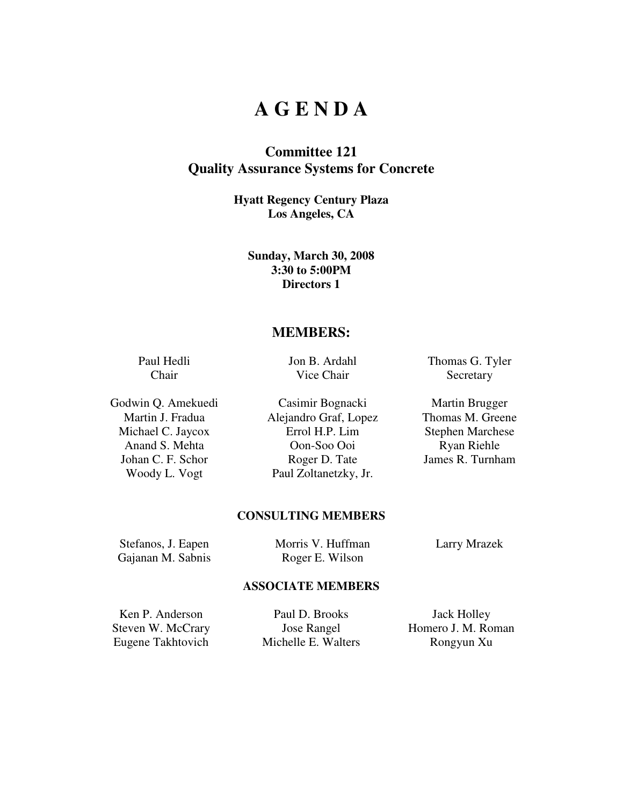## **A G E N D A**

### **Committee 121 Quality Assurance Systems for Concrete**

**Hyatt Regency Century Plaza Los Angeles, CA** 

**Sunday, March 30, 2008 3:30 to 5:00PM Directors 1** 

### **MEMBERS:**

Paul Hedli Chair

Jon B. Ardahl Vice Chair

Godwin Q. Amekuedi Casimir Bognacki Martin Brugger Martin J. Fradua **Alejandro Graf, Lopez** Thomas M. Greene Michael C. Jaycox Errol H.P. Lim Stephen Marchese Anand S. Mehta Oon-Soo Ooi Ryan Riehle Johan C. F. Schor Roger D. Tate James R. Turnham Woody L. Vogt Paul Zoltanetzky, Jr.

Thomas G. Tyler **Secretary** 

#### **CONSULTING MEMBERS**

Stefanos, J. Eapen Morris V. Huffman Larry Mrazek

Gajanan M. Sabnis Roger E. Wilson

#### **ASSOCIATE MEMBERS**

Ken P. Anderson Paul D. Brooks Jack Holley Eugene Takhtovich Michelle E. Walters Rongyun Xu

Steven W. McCrary **Jose Rangel** Homero J. M. Roman